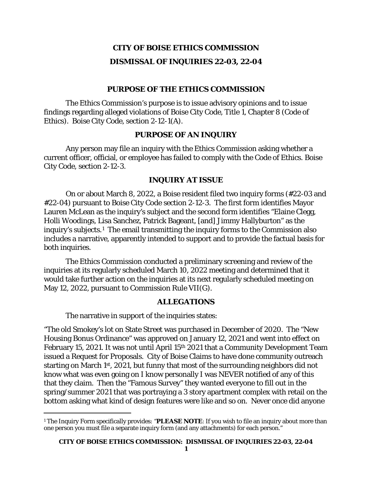# **CITY OF BOISE ETHICS COMMISSION DISMISSAL OF INQUIRIES 22-03, 22-04**

#### **PURPOSE OF THE ETHICS COMMISSION**

The Ethics Commission's purpose is to issue advisory opinions and to issue findings regarding alleged violations of Boise City Code, Title 1, Chapter 8 (Code of Ethics). Boise City Code, section 2-12-1(A).

#### **PURPOSE OF AN INQUIRY**

Any person may file an inquiry with the Ethics Commission asking whether a current officer, official, or employee has failed to comply with the Code of Ethics. Boise City Code, section 2-12-3.

#### **INQUIRY AT ISSUE**

On or about March 8, 2022, a Boise resident filed two inquiry forms (#22-03 and #22-04) pursuant to Boise City Code section 2-12-3. The first form identifies Mayor Lauren McLean as the inquiry's subject and the second form identifies "Elaine Clegg, Holli Woodings, Lisa Sanchez, Patrick Bageant, [and] Jimmy Hallyburton" as the inquiry's subjects.[1](#page-0-0) The email transmitting the inquiry forms to the Commission also includes a narrative, apparently intended to support and to provide the factual basis for both inquiries.

The Ethics Commission conducted a preliminary screening and review of the inquiries at its regularly scheduled March 10, 2022 meeting and determined that it would take further action on the inquiries at its next regularly scheduled meeting on May 12, 2022, pursuant to Commission Rule VII(G).

#### **ALLEGATIONS**

The narrative in support of the inquiries states:

"The old Smokey's lot on State Street was purchased in December of 2020. The "New Housing Bonus Ordinance" was approved on January 12, 2021 and went into effect on February 15, 2021. It was not until April 15th 2021 that a Community Development Team issued a Request for Proposals. City of Boise Claims to have done community outreach starting on March 1st, 2021, but funny that most of the surrounding neighbors did not know what was even going on I know personally I was NEVER notified of any of this that they claim. Then the "Famous Survey" they wanted everyone to fill out in the spring/summer 2021 that was portraying a 3 story apartment complex with retail on the bottom asking what kind of design features were like and so on. Never once did anyone

<span id="page-0-0"></span><sup>1</sup> The Inquiry Form specifically provides: "**PLEASE NOTE**: If you wish to file an inquiry about more than one person you must file a separate inquiry form (and any attachments) for each person."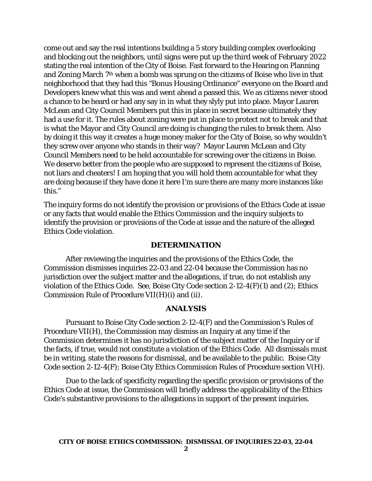come out and say the real intentions building a 5 story building complex overlooking and blocking out the neighbors, until signs were put up the third week of February 2022 stating the real intention of the City of Boise. Fast forward to the Hearing on Planning and Zoning March 7th when a bomb was sprung on the citizens of Boise who live in that neighborhood that they had this "Bonus Housing Ordinance" everyone on the Board and Developers knew what this was and went ahead a passed this. We as citizens never stood a chance to be heard or had any say in in what they slyly put into place. Mayor Lauren McLean and City Council Members put this in place in secret because ultimately they had a use for it. The rules about zoning were put in place to protect not to break and that is what the Mayor and City Council are doing is changing the rules to break them. Also by doing it this way it creates a huge money maker for the City of Boise, so why wouldn't they screw over anyone who stands in their way? Mayor Lauren McLean and City Council Members need to be held accountable for screwing over the citizens in Boise. We deserve better from the people who are supposed to represent the citizens of Boise, not liars and cheaters! I am hoping that you will hold them accountable for what they are doing because if they have done it here I'm sure there are many more instances like this."

The inquiry forms do not identify the provision or provisions of the Ethics Code at issue or any facts that would enable the Ethics Commission and the inquiry subjects to identify the provision or provisions of the Code at issue and the nature of the alleged Ethics Code violation.

#### **DETERMINATION**

After reviewing the inquiries and the provisions of the Ethics Code, the Commission dismisses inquiries 22-03 and 22-04 because the Commission has no jurisdiction over the subject matter and the allegations, if true, do not establish any violation of the Ethics Code. *See,* Boise City Code section 2-12-4(F)(1) and (2); Ethics Commission Rule of Procedure VII(H)(i) and (ii).

### **ANALYSIS**

Pursuant to Boise City Code section 2-12-4(F) and the Commission's Rules of Procedure VII(H), the Commission may dismiss an Inquiry at any time if the Commission determines it has no jurisdiction of the subject matter of the Inquiry or if the facts, if true, would not constitute a violation of the Ethics Code. All dismissals must be in writing, state the reasons for dismissal, and be available to the public. Boise City Code section 2-12-4(F); Boise City Ethics Commission Rules of Procedure section V(H).

Due to the lack of specificity regarding the specific provision or provisions of the Ethics Code at issue, the Commission will briefly address the applicability of the Ethics Code's substantive provisions to the allegations in support of the present inquiries.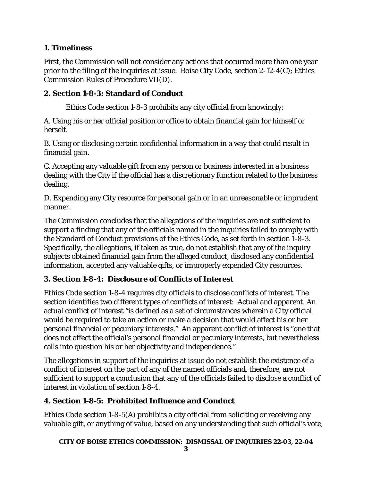# **1. Timeliness**

First, the Commission will not consider any actions that occurred more than one year prior to the filing of the inquiries at issue. Boise City Code, section 2-12-4(C); Ethics Commission Rules of Procedure VII(D).

### **2. Section 1-8-3: Standard of Conduct**

Ethics Code section 1-8-3 prohibits any city official from knowingly:

A. Using his or her official position or office to obtain financial gain for himself or herself.

B. Using or disclosing certain confidential information in a way that could result in financial gain.

C. Accepting any valuable gift from any person or business interested in a business dealing with the City if the official has a discretionary function related to the business dealing.

D. Expending any City resource for personal gain or in an unreasonable or imprudent manner.

The Commission concludes that the allegations of the inquiries are not sufficient to support a finding that any of the officials named in the inquiries failed to comply with the Standard of Conduct provisions of the Ethics Code, as set forth in section 1-8-3. Specifically, the allegations, if taken as true, do not establish that any of the inquiry subjects obtained financial gain from the alleged conduct, disclosed any confidential information, accepted any valuable gifts, or improperly expended City resources.

# **3. Section 1-8-4: Disclosure of Conflicts of Interest**

Ethics Code section 1-8-4 requires city officials to disclose conflicts of interest. The section identifies two different types of conflicts of interest: Actual and apparent. An actual conflict of interest "is defined as a set of circumstances wherein a City official would be required to take an action or make a decision that would affect his or her personal financial or pecuniary interests." An apparent conflict of interest is "one that does not affect the official's personal financial or pecuniary interests, but nevertheless calls into question his or her objectivity and independence."

The allegations in support of the inquiries at issue do not establish the existence of a conflict of interest on the part of any of the named officials and, therefore, are not sufficient to support a conclusion that any of the officials failed to disclose a conflict of interest in violation of section 1-8-4.

# **4. Section 1-8-5: Prohibited Influence and Conduct**

Ethics Code section 1-8-5(A) prohibits a city official from soliciting or receiving any valuable gift, or anything of value, based on any understanding that such official's vote,

**CITY OF BOISE ETHICS COMMISSION: DISMISSAL OF INQUIRIES 22-03, 22-04**